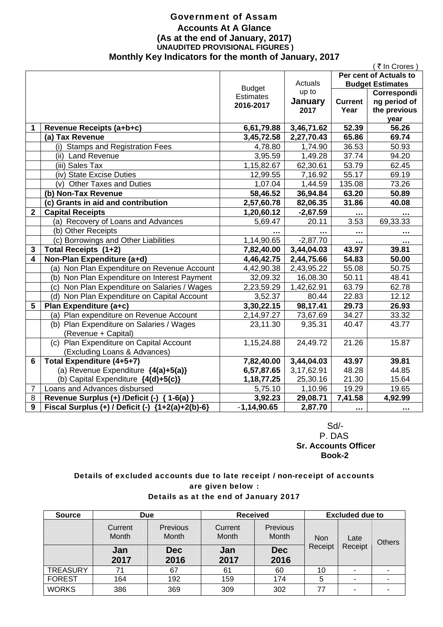### Government of Assam **Accounts At A Glance (As at the end of January, 2017) UNAUDITED PROVISIONAL FIGURES ) Monthly Key Indicators for the month of January, 2017**

|                |                                                    |                  |                      |                        | ₹ In Crores             |  |
|----------------|----------------------------------------------------|------------------|----------------------|------------------------|-------------------------|--|
|                |                                                    |                  |                      | Per cent of Actuals to |                         |  |
|                |                                                    | <b>Budget</b>    | Actuals              |                        | <b>Budget Estimates</b> |  |
|                |                                                    | <b>Estimates</b> | up to                |                        | Correspondi             |  |
|                |                                                    | 2016-2017        | January              | <b>Current</b>         | ng period of            |  |
|                |                                                    |                  | 2017                 | Year                   | the previous            |  |
|                |                                                    |                  |                      |                        | year                    |  |
| 1              | Revenue Receipts (a+b+c)                           | 6,61,79.88       | 3,46,71.62           | 52.39                  | 56.26                   |  |
|                | (a) Tax Revenue                                    | 3,45,72.58       | 2,27,70.43           | 65.86                  | 69.74                   |  |
|                | (i) Stamps and Registration Fees                   | 4,78.80          | $\overline{1,74.90}$ | 36.53                  | 50.93                   |  |
|                | (ii) Land Revenue                                  | 3,95.59          | 1,49.28              | 37.74                  | 94.20                   |  |
|                | (iii) Sales Tax                                    | 1,15,82.67       | 62,30.61             | 53.79                  | 62.45                   |  |
|                | (iv) State Excise Duties                           | 12,99.55         | 7,16.92              | 55.17                  | 69.19                   |  |
|                | (v) Other Taxes and Duties                         | 1,07.04          | 1,44.59              | 135.08                 | 73.26                   |  |
|                | (b) Non-Tax Revenue                                | 58,46.52         | 36,94.84             | 63.20                  | 50.89                   |  |
|                | (c) Grants in aid and contribution                 | 2,57,60.78       | 82,06.35             | 31.86                  | 40.08                   |  |
| $\overline{2}$ | <b>Capital Receipts</b>                            | 1,20,60.12       | $-2,67.59$           |                        |                         |  |
|                | (a) Recovery of Loans and Advances                 | 5,69.47          | 20.11                | 3.53                   | 69,33.33                |  |
|                | (b) Other Receipts                                 |                  |                      | .                      |                         |  |
|                | (c) Borrowings and Other Liabilities               | 1,14,90.65       | $-2,87.70$           |                        |                         |  |
| 3              | Total Receipts (1+2)                               | 7,82,40.00       | 3,44,04.03           | 43.97                  | 39.81                   |  |
| 4              | Non-Plan Expenditure (a+d)                         | 4,46,42.75       | 2,44,75.66           | 54.83                  | 50.00                   |  |
|                | (a) Non Plan Expenditure on Revenue Account        | 4,42,90.38       | 2,43,95.22           | 55.08                  | 50.75                   |  |
|                | (b) Non Plan Expenditure on Interest Payment       | 32,09.32         | 16,08.30             | 50.11                  | 48.41                   |  |
|                | (c) Non Plan Expenditure on Salaries / Wages       | 2,23,59.29       | 1,42,62.91           | 63.79                  | 62.78                   |  |
|                | (d) Non Plan Expenditure on Capital Account        | 3,52.37          | 80.44                | 22.83                  | 12.12                   |  |
| 5              | Plan Expenditure (a+c)                             | 3,30,22.15       | 98,17.41             | 29.73                  | 26.93                   |  |
|                | (a) Plan expenditure on Revenue Account            | 2,14,97.27       | 73,67.69             | 34.27                  | 33.32                   |  |
|                | (b) Plan Expenditure on Salaries / Wages           | 23,11.30         | 9,35.31              | 40.47                  | 43.77                   |  |
|                | (Revenue + Capital)                                |                  |                      |                        |                         |  |
|                | (c) Plan Expenditure on Capital Account            | 1,15,24.88       | 24,49.72             | $\overline{21.26}$     | 15.87                   |  |
|                | (Excluding Loans & Advances)                       |                  |                      |                        |                         |  |
| 6              | Total Expenditure (4+5+7)                          | 7,82,40.00       | 3,44,04.03           | 43.97                  | 39.81                   |  |
|                | (a) Revenue Expenditure {4(a)+5(a)}                | 6,57,87.65       | 3,17,62.91           | 48.28                  | 44.85                   |  |
|                | (b) Capital Expenditure {4(d)+5(c)}                | 1, 18, 77. 25    | 25,30.16             | 21.30                  | 15.64                   |  |
| $\overline{7}$ | Loans and Advances disbursed                       | 5,75.10          | 1,10.96              | 19.29                  | 19.65                   |  |
| 8              | Revenue Surplus (+) /Deficit (-) { 1-6(a) }        | 3,92.23          | 29,08.71             | 7,41.58                | 4,92.99                 |  |
| $\mathbf{9}$   | Fiscal Surplus (+) / Deficit (-) ${1+2(a)+2(b)-6}$ | $-1,14,90.65$    | 2,87.70              | $\cdots$               | $\cdots$                |  |

 Sd/- P. DAS  **Sr. Accounts Officer Book-2** 

### Details of excluded accounts due to late receipt / non-receipt of accounts are given below : Details as at the end of January 2017

| <b>Source</b>   | <b>Due</b>       |                          | <b>Received</b>  |                          | <b>Excluded due to</b> |         |  |  |  |  |      |               |
|-----------------|------------------|--------------------------|------------------|--------------------------|------------------------|---------|--|--|--|--|------|---------------|
|                 | Current<br>Month | <b>Previous</b><br>Month | Current<br>Month | Previous<br><b>Month</b> | <b>Non</b><br>Receipt  |         |  |  |  |  | Late | <b>Others</b> |
|                 | Jan<br>2017      | <b>Dec</b><br>2016       | Jan<br>2017      | <b>Dec</b><br>2016       |                        | Receipt |  |  |  |  |      |               |
| <b>TREASURY</b> | 71               | 67                       | 61               | 60                       | 10                     |         |  |  |  |  |      |               |
| <b>FOREST</b>   | 164              | 192                      | 159              | 174                      | 5                      | ۰       |  |  |  |  |      |               |
| <b>WORKS</b>    | 386              | 369                      | 309              | 302                      | 77                     | ۰       |  |  |  |  |      |               |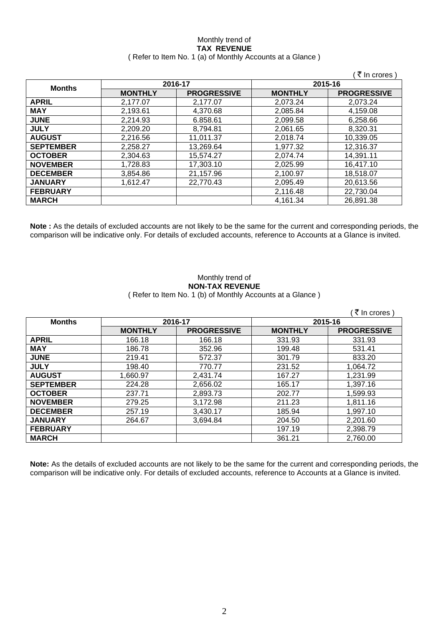### Monthly trend of **TAX REVENUE**  ( Refer to Item No. 1 (a) of Monthly Accounts at a Glance )

|                  |                |                    |                | (₹ In crores)      |
|------------------|----------------|--------------------|----------------|--------------------|
|                  |                | 2016-17            | 2015-16        |                    |
| <b>Months</b>    | <b>MONTHLY</b> | <b>PROGRESSIVE</b> | <b>MONTHLY</b> | <b>PROGRESSIVE</b> |
| <b>APRIL</b>     | 2,177.07       | 2.177.07           | 2,073.24       | 2.073.24           |
| <b>MAY</b>       | 2,193.61       | 4,370.68           | 2,085.84       | 4,159.08           |
| <b>JUNE</b>      | 2,214.93       | 6.858.61           | 2,099.58       | 6,258.66           |
| <b>JULY</b>      | 2,209.20       | 8,794.81           | 2,061.65       | 8,320.31           |
| <b>AUGUST</b>    | 2,216.56       | 11,011.37          | 2,018.74       | 10,339.05          |
| <b>SEPTEMBER</b> | 2,258.27       | 13,269.64          | 1,977.32       | 12,316.37          |
| <b>OCTOBER</b>   | 2,304.63       | 15,574.27          | 2,074.74       | 14,391.11          |
| <b>NOVEMBER</b>  | 1,728.83       | 17,303.10          | 2,025.99       | 16,417.10          |
| <b>DECEMBER</b>  | 3,854.86       | 21,157.96          | 2,100.97       | 18,518.07          |
| <b>JANUARY</b>   | 1,612.47       | 22,770.43          | 2,095.49       | 20,613.56          |
| <b>FEBRUARY</b>  |                |                    | 2,116.48       | 22,730.04          |
| <b>MARCH</b>     |                |                    | 4,161.34       | 26,891.38          |

**Note :** As the details of excluded accounts are not likely to be the same for the current and corresponding periods, the comparison will be indicative only. For details of excluded accounts, reference to Accounts at a Glance is invited.

### Monthly trend of **NON-TAX REVENUE**  ( Refer to Item No. 1 (b) of Monthly Accounts at a Glance )

| <b>Months</b>    |                | 2016-17            |                | 2015-16            |
|------------------|----------------|--------------------|----------------|--------------------|
|                  | <b>MONTHLY</b> | <b>PROGRESSIVE</b> | <b>MONTHLY</b> | <b>PROGRESSIVE</b> |
| <b>APRIL</b>     | 166.18         | 166.18             | 331.93         | 331.93             |
| <b>MAY</b>       | 186.78         | 352.96             | 199.48         | 531.41             |
| <b>JUNE</b>      | 219.41         | 572.37             | 301.79         | 833.20             |
| <b>JULY</b>      | 198.40         | 770.77             | 231.52         | 1,064.72           |
| <b>AUGUST</b>    | 1,660.97       | 2,431.74           | 167.27         | 1,231.99           |
| <b>SEPTEMBER</b> | 224.28         | 2,656.02           | 165.17         | 1,397.16           |
| <b>OCTOBER</b>   | 237.71         | 2,893.73           | 202.77         | 1,599.93           |
| <b>NOVEMBER</b>  | 279.25         | 3,172.98           | 211.23         | 1,811.16           |
| <b>DECEMBER</b>  | 257.19         | 3,430.17           | 185.94         | 1,997.10           |
| <b>JANUARY</b>   | 264.67         | 3,694.84           | 204.50         | 2,201.60           |
| <b>FEBRUARY</b>  |                |                    | 197.19         | 2,398.79           |
| <b>MARCH</b>     |                |                    | 361.21         | 2,760.00           |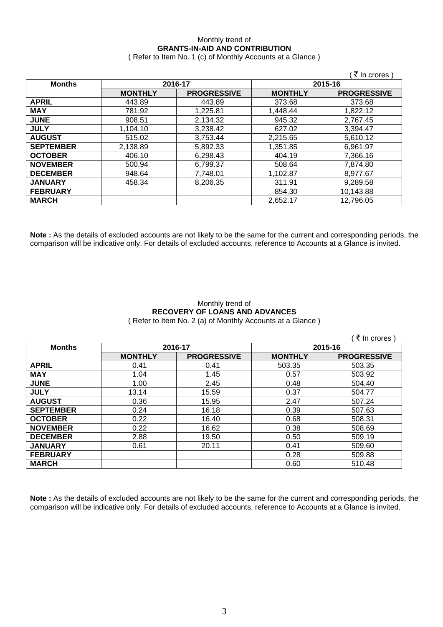## Monthly trend of **GRANTS-IN-AID AND CONTRIBUTION**

( Refer to Item No. 1 (c) of Monthly Accounts at a Glance )

|                  |                |                    |                | ∶₹ In crores )     |
|------------------|----------------|--------------------|----------------|--------------------|
| <b>Months</b>    | 2016-17        |                    | 2015-16        |                    |
|                  | <b>MONTHLY</b> | <b>PROGRESSIVE</b> | <b>MONTHLY</b> | <b>PROGRESSIVE</b> |
| <b>APRIL</b>     | 443.89         | 443.89             | 373.68         | 373.68             |
| <b>MAY</b>       | 781.92         | 1,225.81           | 1,448.44       | 1,822.12           |
| <b>JUNE</b>      | 908.51         | 2,134.32           | 945.32         | 2,767.45           |
| <b>JULY</b>      | 1.104.10       | 3,238.42           | 627.02         | 3,394.47           |
| <b>AUGUST</b>    | 515.02         | 3,753.44           | 2,215.65       | 5,610.12           |
| <b>SEPTEMBER</b> | 2,138.89       | 5,892.33           | 1,351.85       | 6,961.97           |
| <b>OCTOBER</b>   | 406.10         | 6,298.43           | 404.19         | 7,366.16           |
| <b>NOVEMBER</b>  | 500.94         | 6,799.37           | 508.64         | 7,874.80           |
| <b>DECEMBER</b>  | 948.64         | 7,748.01           | 1,102.87       | 8,977.67           |
| <b>JANUARY</b>   | 458.34         | 8,206.35           | 311.91         | 9,289.58           |
| <b>FEBRUARY</b>  |                |                    | 854.30         | 10,143.88          |
| <b>MARCH</b>     |                |                    | 2,652.17       | 12,796.05          |

**Note :** As the details of excluded accounts are not likely to be the same for the current and corresponding periods, the comparison will be indicative only. For details of excluded accounts, reference to Accounts at a Glance is invited.

### Monthly trend of **RECOVERY OF LOANS AND ADVANCES**  ( Refer to Item No. 2 (a) of Monthly Accounts at a Glance )

|                  |                |                    |                | ₹ In crores        |
|------------------|----------------|--------------------|----------------|--------------------|
| <b>Months</b>    | 2016-17        |                    | 2015-16        |                    |
|                  | <b>MONTHLY</b> | <b>PROGRESSIVE</b> | <b>MONTHLY</b> | <b>PROGRESSIVE</b> |
| <b>APRIL</b>     | 0.41           | 0.41               | 503.35         | 503.35             |
| <b>MAY</b>       | 1.04           | 1.45               | 0.57           | 503.92             |
| <b>JUNE</b>      | 1.00           | 2.45               | 0.48           | 504.40             |
| <b>JULY</b>      | 13.14          | 15.59              | 0.37           | 504.77             |
| <b>AUGUST</b>    | 0.36           | 15.95              | 2.47           | 507.24             |
| <b>SEPTEMBER</b> | 0.24           | 16.18              | 0.39           | 507.63             |
| <b>OCTOBER</b>   | 0.22           | 16.40              | 0.68           | 508.31             |
| <b>NOVEMBER</b>  | 0.22           | 16.62              | 0.38           | 508.69             |
| <b>DECEMBER</b>  | 2.88           | 19.50              | 0.50           | 509.19             |
| <b>JANUARY</b>   | 0.61           | 20.11              | 0.41           | 509.60             |
| <b>FEBRUARY</b>  |                |                    | 0.28           | 509.88             |
| <b>MARCH</b>     |                |                    | 0.60           | 510.48             |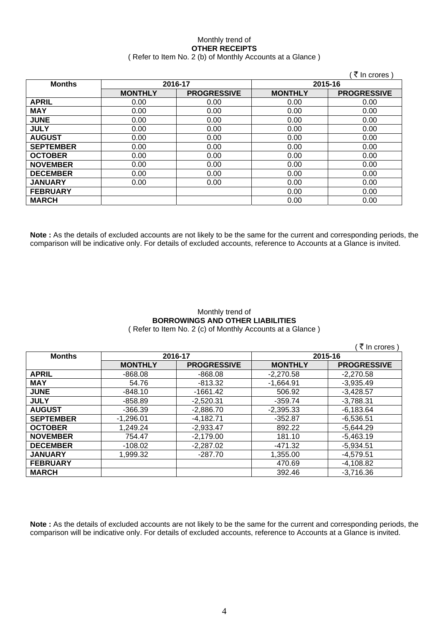#### Monthly trend of **OTHER RECEIPTS**  ( Refer to Item No. 2 (b) of Monthly Accounts at a Glance )

|                          |                |                    |                | ∶ <i>₹</i> In crores ) |
|--------------------------|----------------|--------------------|----------------|------------------------|
| 2016-17<br><b>Months</b> |                | 2015-16            |                |                        |
|                          | <b>MONTHLY</b> | <b>PROGRESSIVE</b> | <b>MONTHLY</b> | <b>PROGRESSIVE</b>     |
| <b>APRIL</b>             | 0.00           | 0.00               | 0.00           | 0.00                   |
| <b>MAY</b>               | 0.00           | 0.00               | 0.00           | 0.00                   |
| <b>JUNE</b>              | 0.00           | 0.00               | 0.00           | 0.00                   |
| <b>JULY</b>              | 0.00           | 0.00               | 0.00           | 0.00                   |
| <b>AUGUST</b>            | 0.00           | 0.00               | 0.00           | 0.00                   |
| <b>SEPTEMBER</b>         | 0.00           | 0.00               | 0.00           | 0.00                   |
| <b>OCTOBER</b>           | 0.00           | 0.00               | 0.00           | 0.00                   |
| <b>NOVEMBER</b>          | 0.00           | 0.00               | 0.00           | 0.00                   |
| <b>DECEMBER</b>          | 0.00           | 0.00               | 0.00           | 0.00                   |
| <b>JANUARY</b>           | 0.00           | 0.00               | 0.00           | 0.00                   |
| <b>FEBRUARY</b>          |                |                    | 0.00           | 0.00                   |
| <b>MARCH</b>             |                |                    | 0.00           | 0.00                   |

**Note :** As the details of excluded accounts are not likely to be the same for the current and corresponding periods, the comparison will be indicative only. For details of excluded accounts, reference to Accounts at a Glance is invited.

## Monthly trend of **BORROWINGS AND OTHER LIABILITIES**

( Refer to Item No. 2 (c) of Monthly Accounts at a Glance )

 $($   $\overline{\tau}$  In crores ) **Months 2016-17 2015-16 MONTHLY | PROGRESSIVE | MONTHLY | PROGRESSIVE APRIL** -868.08 -868.08 -2,270.58 -2,270.58 **MAY** 54.76 -813.32 -1,664.91 -3,935.49 **JUNE** -848.10 -1661.42 506.92 -3,428.57 **JULY** -858.89 -2,520.31 -359.74 -3,788.31 **AUGUST** | -366.39 | -2,886.70 | -2,395.33 | -6,183.64 **SEPTEMBER** -1,296.01 -4,182.71 -352.87 -6,536.51 **OCTOBER** 1,249.24 2-2,933.47 892.22 5,644.29 **NOVEMBER** | 754.47 | -2,179.00 | 181.10 | -5,463.19 **DECEMBER** -108.02 -2,287.02 -471.32 -5,934.51 **JANUARY** | 1,999.32 | -287.70 | 1,355.00 | -4,579.51 **FEBRUARY 1** -4,108.82 **MARCH** 392.46 -3,716.36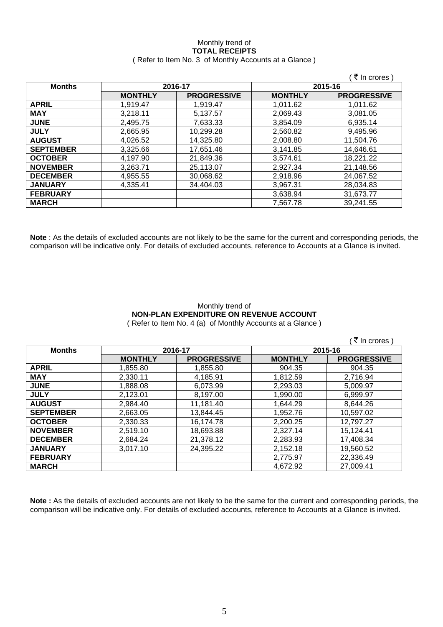### Monthly trend of **TOTAL RECEIPTS**  ( Refer to Item No. 3 of Monthly Accounts at a Glance )

|        |                |                    |                | (₹ In crores)      |
|--------|----------------|--------------------|----------------|--------------------|
| Months | 2016-17        |                    | 2015-16        |                    |
|        | <b>MONTHLY</b> | <b>PROGRESSIVE</b> | <b>MONTHLY</b> | <b>PROGRESSIVE</b> |
|        |                |                    |                |                    |

|                  | <b>MONTHLY</b> | <b>PROGRESSIVE</b> | <b>MONTHLY</b> | <b>PROGRESSIVE</b> |
|------------------|----------------|--------------------|----------------|--------------------|
| <b>APRIL</b>     | 1.919.47       | 1,919.47           | 1,011.62       | 1,011.62           |
| <b>MAY</b>       | 3,218.11       | 5,137.57           | 2,069.43       | 3,081.05           |
| <b>JUNE</b>      | 2,495.75       | 7,633.33           | 3,854.09       | 6,935.14           |
| <b>JULY</b>      | 2,665.95       | 10,299.28          | 2,560.82       | 9,495.96           |
| <b>AUGUST</b>    | 4,026.52       | 14,325.80          | 2,008.80       | 11,504.76          |
| <b>SEPTEMBER</b> | 3,325.66       | 17,651.46          | 3,141.85       | 14,646.61          |
| <b>OCTOBER</b>   | 4,197.90       | 21,849.36          | 3,574.61       | 18,221.22          |
| <b>NOVEMBER</b>  | 3,263.71       | 25,113.07          | 2,927.34       | 21,148.56          |
| <b>DECEMBER</b>  | 4,955.55       | 30,068.62          | 2,918.96       | 24,067.52          |
| <b>JANUARY</b>   | 4.335.41       | 34,404.03          | 3,967.31       | 28,034.83          |
| <b>FEBRUARY</b>  |                |                    | 3,638.94       | 31,673.77          |
| <b>MARCH</b>     |                |                    | 7.567.78       | 39,241.55          |

**Note** : As the details of excluded accounts are not likely to be the same for the current and corresponding periods, the comparison will be indicative only. For details of excluded accounts, reference to Accounts at a Glance is invited.

## Monthly trend of **NON-PLAN EXPENDITURE ON REVENUE ACCOUNT**

( Refer to Item No. 4 (a) of Monthly Accounts at a Glance )

|                  |                |                    |                | ∶₹ In crores )     |
|------------------|----------------|--------------------|----------------|--------------------|
| <b>Months</b>    | 2016-17        |                    |                | 2015-16            |
|                  | <b>MONTHLY</b> | <b>PROGRESSIVE</b> | <b>MONTHLY</b> | <b>PROGRESSIVE</b> |
| <b>APRIL</b>     | 1,855.80       | 1,855.80           | 904.35         | 904.35             |
| <b>MAY</b>       | 2,330.11       | 4,185.91           | 1,812.59       | 2,716.94           |
| <b>JUNE</b>      | 1,888.08       | 6.073.99           | 2,293.03       | 5,009.97           |
| <b>JULY</b>      | 2,123.01       | 8,197.00           | 1,990.00       | 6,999.97           |
| <b>AUGUST</b>    | 2,984.40       | 11,181.40          | 1,644.29       | 8,644.26           |
| <b>SEPTEMBER</b> | 2,663.05       | 13,844.45          | 1,952.76       | 10,597.02          |
| <b>OCTOBER</b>   | 2,330.33       | 16,174.78          | 2,200.25       | 12,797.27          |
| <b>NOVEMBER</b>  | 2,519.10       | 18,693.88          | 2,327.14       | 15,124.41          |
| <b>DECEMBER</b>  | 2.684.24       | 21,378.12          | 2,283.93       | 17,408.34          |
| <b>JANUARY</b>   | 3.017.10       | 24,395.22          | 2,152.18       | 19,560.52          |
| <b>FEBRUARY</b>  |                |                    | 2,775.97       | 22,336.49          |
| <b>MARCH</b>     |                |                    | 4,672.92       | 27,009.41          |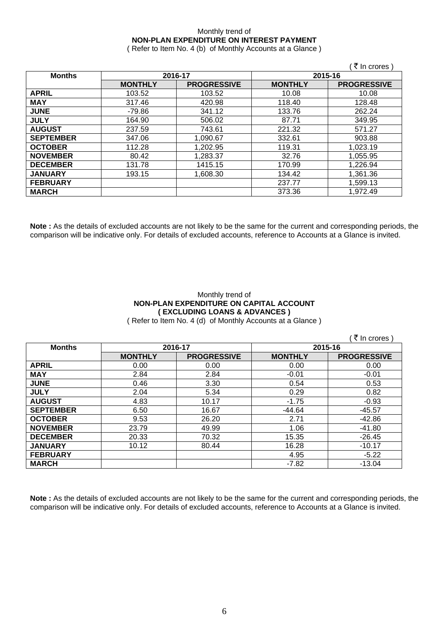### Monthly trend of **NON-PLAN EXPENDITURE ON INTEREST PAYMENT**

( Refer to Item No. 4 (b) of Monthly Accounts at a Glance )

|                  |                |                    |                | ₹ In crores)       |
|------------------|----------------|--------------------|----------------|--------------------|
| <b>Months</b>    | 2016-17        |                    | 2015-16        |                    |
|                  | <b>MONTHLY</b> | <b>PROGRESSIVE</b> | <b>MONTHLY</b> | <b>PROGRESSIVE</b> |
| <b>APRIL</b>     | 103.52         | 103.52             | 10.08          | 10.08              |
| <b>MAY</b>       | 317.46         | 420.98             | 118.40         | 128.48             |
| <b>JUNE</b>      | -79.86         | 341.12             | 133.76         | 262.24             |
| <b>JULY</b>      | 164.90         | 506.02             | 87.71          | 349.95             |
| <b>AUGUST</b>    | 237.59         | 743.61             | 221.32         | 571.27             |
| <b>SEPTEMBER</b> | 347.06         | 1,090.67           | 332.61         | 903.88             |
| <b>OCTOBER</b>   | 112.28         | 1,202.95           | 119.31         | 1,023.19           |
| <b>NOVEMBER</b>  | 80.42          | 1,283.37           | 32.76          | 1,055.95           |
| <b>DECEMBER</b>  | 131.78         | 1415.15            | 170.99         | 1,226.94           |
| <b>JANUARY</b>   | 193.15         | 1,608.30           | 134.42         | 1,361.36           |
| <b>FEBRUARY</b>  |                |                    | 237.77         | 1,599.13           |
| <b>MARCH</b>     |                |                    | 373.36         | 1.972.49           |

**Note :** As the details of excluded accounts are not likely to be the same for the current and corresponding periods, the comparison will be indicative only. For details of excluded accounts, reference to Accounts at a Glance is invited.

### Monthly trend of **NON-PLAN EXPENDITURE ON CAPITAL ACCOUNT ( EXCLUDING LOANS & ADVANCES )**

( Refer to Item No. 4 (d) of Monthly Accounts at a Glance )

|                  |                |                    |                | ∶ ₹ In crores `    |
|------------------|----------------|--------------------|----------------|--------------------|
| <b>Months</b>    |                | 2016-17            | 2015-16        |                    |
|                  | <b>MONTHLY</b> | <b>PROGRESSIVE</b> | <b>MONTHLY</b> | <b>PROGRESSIVE</b> |
| <b>APRIL</b>     | 0.00           | 0.00               | 0.00           | 0.00               |
| <b>MAY</b>       | 2.84           | 2.84               | $-0.01$        | $-0.01$            |
| <b>JUNE</b>      | 0.46           | 3.30               | 0.54           | 0.53               |
| <b>JULY</b>      | 2.04           | 5.34               | 0.29           | 0.82               |
| <b>AUGUST</b>    | 4.83           | 10.17              | $-1.75$        | $-0.93$            |
| <b>SEPTEMBER</b> | 6.50           | 16.67              | $-44.64$       | $-45.57$           |
| <b>OCTOBER</b>   | 9.53           | 26.20              | 2.71           | $-42.86$           |
| <b>NOVEMBER</b>  | 23.79          | 49.99              | 1.06           | $-41.80$           |
| <b>DECEMBER</b>  | 20.33          | 70.32              | 15.35          | $-26.45$           |
| <b>JANUARY</b>   | 10.12          | 80.44              | 16.28          | $-10.17$           |
| <b>FEBRUARY</b>  |                |                    | 4.95           | $-5.22$            |
| <b>MARCH</b>     |                |                    | $-7.82$        | $-13.04$           |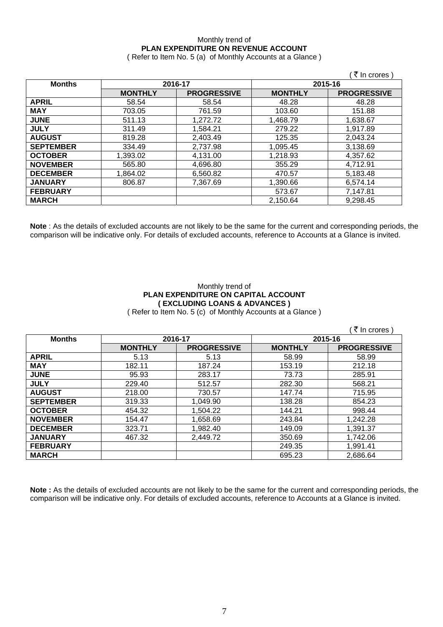## Monthly trend of **PLAN EXPENDITURE ON REVENUE ACCOUNT**

( Refer to Item No. 5 (a) of Monthly Accounts at a Glance )

|                  |                    |                    |                | ़₹ In crores )     |
|------------------|--------------------|--------------------|----------------|--------------------|
| <b>Months</b>    | 2016-17<br>2015-16 |                    |                |                    |
|                  | <b>MONTHLY</b>     | <b>PROGRESSIVE</b> | <b>MONTHLY</b> | <b>PROGRESSIVE</b> |
| <b>APRIL</b>     | 58.54              | 58.54              | 48.28          | 48.28              |
| <b>MAY</b>       | 703.05             | 761.59             | 103.60         | 151.88             |
| <b>JUNE</b>      | 511.13             | 1,272.72           | 1,468.79       | 1,638.67           |
| <b>JULY</b>      | 311.49             | 1,584.21           | 279.22         | 1.917.89           |
| <b>AUGUST</b>    | 819.28             | 2,403.49           | 125.35         | 2,043.24           |
| <b>SEPTEMBER</b> | 334.49             | 2,737.98           | 1,095.45       | 3,138.69           |
| <b>OCTOBER</b>   | 1,393.02           | 4,131.00           | 1,218.93       | 4,357.62           |
| <b>NOVEMBER</b>  | 565.80             | 4,696.80           | 355.29         | 4,712.91           |
| <b>DECEMBER</b>  | 1,864.02           | 6,560.82           | 470.57         | 5,183.48           |
| <b>JANUARY</b>   | 806.87             | 7,367.69           | 1,390.66       | 6,574.14           |
| <b>FEBRUARY</b>  |                    |                    | 573.67         | 7,147.81           |
| <b>MARCH</b>     |                    |                    | 2,150.64       | 9,298.45           |

**Note** : As the details of excluded accounts are not likely to be the same for the current and corresponding periods, the comparison will be indicative only. For details of excluded accounts, reference to Accounts at a Glance is invited.

### Monthly trend of **PLAN EXPENDITURE ON CAPITAL ACCOUNT ( EXCLUDING LOANS & ADVANCES )**

( Refer to Item No. 5 (c) of Monthly Accounts at a Glance )

|                  |                |                    |                | ∶₹ In crores )     |
|------------------|----------------|--------------------|----------------|--------------------|
| <b>Months</b>    |                | 2016-17            | 2015-16        |                    |
|                  | <b>MONTHLY</b> | <b>PROGRESSIVE</b> | <b>MONTHLY</b> | <b>PROGRESSIVE</b> |
| <b>APRIL</b>     | 5.13           | 5.13               | 58.99          | 58.99              |
| <b>MAY</b>       | 182.11         | 187.24             | 153.19         | 212.18             |
| <b>JUNE</b>      | 95.93          | 283.17             | 73.73          | 285.91             |
| <b>JULY</b>      | 229.40         | 512.57             | 282.30         | 568.21             |
| <b>AUGUST</b>    | 218.00         | 730.57             | 147.74         | 715.95             |
| <b>SEPTEMBER</b> | 319.33         | 1,049.90           | 138.28         | 854.23             |
| <b>OCTOBER</b>   | 454.32         | 1,504.22           | 144.21         | 998.44             |
| <b>NOVEMBER</b>  | 154.47         | 1,658.69           | 243.84         | 1,242.28           |
| <b>DECEMBER</b>  | 323.71         | 1,982.40           | 149.09         | 1.391.37           |
| <b>JANUARY</b>   | 467.32         | 2,449.72           | 350.69         | 1,742.06           |
| <b>FEBRUARY</b>  |                |                    | 249.35         | 1,991.41           |
| <b>MARCH</b>     |                |                    | 695.23         | 2,686.64           |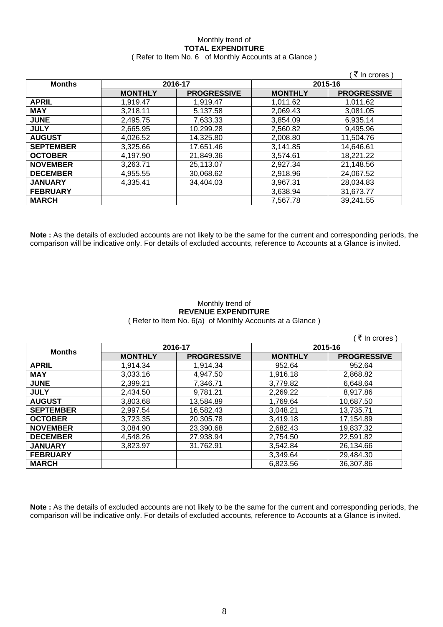# Monthly trend of **TOTAL EXPENDITURE**

|  | (Refer to Item No. 6 of Monthly Accounts at a Glance) |
|--|-------------------------------------------------------|
|--|-------------------------------------------------------|

|                  |                    |                    |                | ∶₹ In crores )     |
|------------------|--------------------|--------------------|----------------|--------------------|
| <b>Months</b>    | 2016-17<br>2015-16 |                    |                |                    |
|                  | <b>MONTHLY</b>     | <b>PROGRESSIVE</b> | <b>MONTHLY</b> | <b>PROGRESSIVE</b> |
| <b>APRIL</b>     | 1,919.47           | 1.919.47           | 1,011.62       | 1,011.62           |
| <b>MAY</b>       | 3,218.11           | 5,137.58           | 2,069.43       | 3,081.05           |
| <b>JUNE</b>      | 2,495.75           | 7,633.33           | 3,854.09       | 6,935.14           |
| <b>JULY</b>      | 2,665.95           | 10,299.28          | 2.560.82       | 9,495.96           |
| <b>AUGUST</b>    | 4.026.52           | 14.325.80          | 2.008.80       | 11.504.76          |
| <b>SEPTEMBER</b> | 3,325.66           | 17,651.46          | 3,141.85       | 14,646.61          |
| <b>OCTOBER</b>   | 4.197.90           | 21,849.36          | 3,574.61       | 18,221.22          |
| <b>NOVEMBER</b>  | 3,263.71           | 25,113.07          | 2,927.34       | 21,148.56          |
| <b>DECEMBER</b>  | 4,955.55           | 30,068.62          | 2,918.96       | 24,067.52          |
| <b>JANUARY</b>   | 4,335.41           | 34,404.03          | 3.967.31       | 28,034.83          |
| <b>FEBRUARY</b>  |                    |                    | 3,638.94       | 31,673.77          |
| <b>MARCH</b>     |                    |                    | 7,567.78       | 39,241.55          |

**Note :** As the details of excluded accounts are not likely to be the same for the current and corresponding periods, the comparison will be indicative only. For details of excluded accounts, reference to Accounts at a Glance is invited.

### Monthly trend of **REVENUE EXPENDITURE**  ( Refer to Item No. 6(a) of Monthly Accounts at a Glance )

|                  |                |                    |                | ं ₹ In crores `    |  |
|------------------|----------------|--------------------|----------------|--------------------|--|
| <b>Months</b>    | 2016-17        |                    |                | 2015-16            |  |
|                  | <b>MONTHLY</b> | <b>PROGRESSIVE</b> | <b>MONTHLY</b> | <b>PROGRESSIVE</b> |  |
| <b>APRIL</b>     | 1,914.34       | 1,914.34           | 952.64         | 952.64             |  |
| <b>MAY</b>       | 3,033.16       | 4,947.50           | 1,916.18       | 2,868.82           |  |
| <b>JUNE</b>      | 2,399.21       | 7,346.71           | 3,779.82       | 6,648.64           |  |
| <b>JULY</b>      | 2,434.50       | 9,781.21           | 2,269.22       | 8,917.86           |  |
| <b>AUGUST</b>    | 3,803.68       | 13,584.89          | 1,769.64       | 10,687.50          |  |
| <b>SEPTEMBER</b> | 2,997.54       | 16,582.43          | 3,048.21       | 13,735.71          |  |
| <b>OCTOBER</b>   | 3,723.35       | 20,305.78          | 3,419.18       | 17,154.89          |  |
| <b>NOVEMBER</b>  | 3,084.90       | 23,390.68          | 2,682.43       | 19,837.32          |  |
| <b>DECEMBER</b>  | 4,548.26       | 27,938.94          | 2.754.50       | 22.591.82          |  |
| <b>JANUARY</b>   | 3,823.97       | 31,762.91          | 3,542.84       | 26,134.66          |  |
| <b>FEBRUARY</b>  |                |                    | 3.349.64       | 29.484.30          |  |
| <b>MARCH</b>     |                |                    | 6,823.56       | 36,307.86          |  |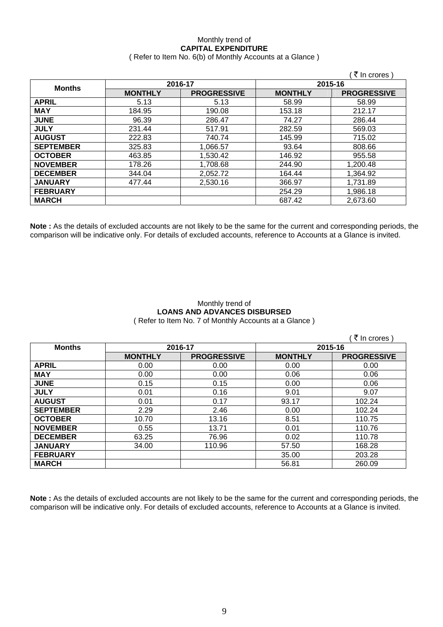### Monthly trend of **CAPITAL EXPENDITURE**  ( Refer to Item No. 6(b) of Monthly Accounts at a Glance )

|                  |                |                    |                | े ₹ In crores )    |  |
|------------------|----------------|--------------------|----------------|--------------------|--|
| <b>Months</b>    | 2016-17        |                    |                | 2015-16            |  |
|                  | <b>MONTHLY</b> | <b>PROGRESSIVE</b> | <b>MONTHLY</b> | <b>PROGRESSIVE</b> |  |
| <b>APRIL</b>     | 5.13           | 5.13               | 58.99          | 58.99              |  |
| <b>MAY</b>       | 184.95         | 190.08             | 153.18         | 212.17             |  |
| <b>JUNE</b>      | 96.39          | 286.47             | 74.27          | 286.44             |  |
| <b>JULY</b>      | 231.44         | 517.91             | 282.59         | 569.03             |  |
| <b>AUGUST</b>    | 222.83         | 740.74             | 145.99         | 715.02             |  |
| <b>SEPTEMBER</b> | 325.83         | 1,066.57           | 93.64          | 808.66             |  |
| <b>OCTOBER</b>   | 463.85         | 1,530.42           | 146.92         | 955.58             |  |
| <b>NOVEMBER</b>  | 178.26         | 1,708.68           | 244.90         | 1,200.48           |  |
| <b>DECEMBER</b>  | 344.04         | 2,052.72           | 164.44         | 1,364.92           |  |
| <b>JANUARY</b>   | 477.44         | 2,530.16           | 366.97         | 1,731.89           |  |
| <b>FEBRUARY</b>  |                |                    | 254.29         | 1,986.18           |  |
| <b>MARCH</b>     |                |                    | 687.42         | 2,673.60           |  |

**Note :** As the details of excluded accounts are not likely to be the same for the current and corresponding periods, the comparison will be indicative only. For details of excluded accounts, reference to Accounts at a Glance is invited.

### Monthly trend of **LOANS AND ADVANCES DISBURSED**  ( Refer to Item No. 7 of Monthly Accounts at a Glance )

|                  |                |                    |                | ₹ In crores)       |
|------------------|----------------|--------------------|----------------|--------------------|
| <b>Months</b>    | 2016-17        |                    | 2015-16        |                    |
|                  | <b>MONTHLY</b> | <b>PROGRESSIVE</b> | <b>MONTHLY</b> | <b>PROGRESSIVE</b> |
| <b>APRIL</b>     | 0.00           | 0.00               | 0.00           | 0.00               |
| <b>MAY</b>       | 0.00           | 0.00               | 0.06           | 0.06               |
| <b>JUNE</b>      | 0.15           | 0.15               | 0.00           | 0.06               |
| <b>JULY</b>      | 0.01           | 0.16               | 9.01           | 9.07               |
| <b>AUGUST</b>    | 0.01           | 0.17               | 93.17          | 102.24             |
| <b>SEPTEMBER</b> | 2.29           | 2.46               | 0.00           | 102.24             |
| <b>OCTOBER</b>   | 10.70          | 13.16              | 8.51           | 110.75             |
| <b>NOVEMBER</b>  | 0.55           | 13.71              | 0.01           | 110.76             |
| <b>DECEMBER</b>  | 63.25          | 76.96              | 0.02           | 110.78             |
| <b>JANUARY</b>   | 34.00          | 110.96             | 57.50          | 168.28             |
| <b>FEBRUARY</b>  |                |                    | 35.00          | 203.28             |
| <b>MARCH</b>     |                |                    | 56.81          | 260.09             |